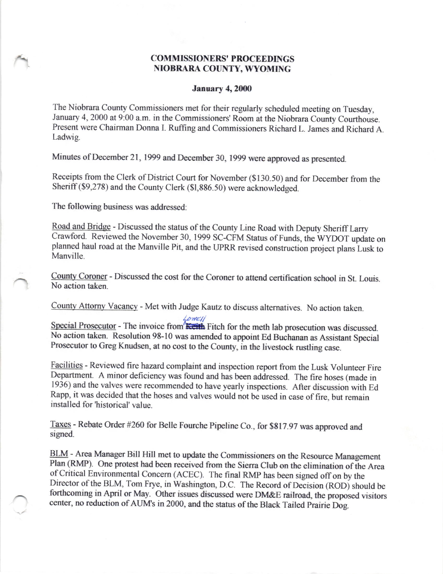## COMMISSIONERS' PROCEEDINGS<br>NIOBRARA COUNTY, WYOMING

## **January 4, 2000**

The Niobrara County Commissioners met for their regularly scheduled meeting on Tuesday, January 4,2000 at 9:00 a.m. in the commissioners' Room at the Niobrara county courthouse. Present were chairman Donna I. Ruffing and commissioners Richard L. James and Richard A. Ladwig.

Minutes of December 21, 1999 and December 30, 1999 were approved as presented.

Receipts from the clerk of District court for November (\$130.50) and for December from the Sheriff (\$9,278) and the County Clerk (\$1,886.50) were acknowledged.

The following business was addressed:

Road and Bridge - Discussed the status of the county Line Road with Deputy sheriffLarry Crawford. Reviewed the November 30, 1999 SC-CFM Status of Funds, the WYDOT update on planned haul road at the Manville Pit, and the UPRR revised construction project plans Lusk to Manville.

Countv Coroner - Discussed the cost for the Coroner to attend certification school in St. Louis. No action taken.

countv Attorny vacancy - Met with Judge Kautz to discuss alternatives. No action taken.

Special Prosecutor - The invoice from  $\frac{\text{Low}(\text{L})}{\text{Kcith}}$  Fitch for the meth lab prosecution was discussed. No action taken. Resolution 98-10 was amended to appoint Ed Buchanan as Assistant Special Prosecutor to Greg Knudsen, at no cost to the county, in the livestock rustling case.

Facilities - Reviewed fire hazard complaint and inspection report from the Lusk Volunteer Fire Department. A minor deficiency was found and has been addressed. The fire hoses (made in 1936) and the valves were recommended to have yearly inspections. After discussion with Ed Rapp, it was decided that the hoses and valves would not be used in case of fire, but remain installed for 'historical' value.

Taxes - Rebate Order #260 for Belle Fourche Pipeline Co., for \$817.97 was approved and signed.

BLM - Area Manager Bill Hill met to update the Commissioners on the Resource Management Plan (RMP). One protest had been received from the Sierra Club on the elimination of ihe Area of critical Environmental concem (ACEC). The final RMp has been signed offon by the Director of the BLM, Tom Frye, in Washington, D.C. The Record of Decision (ROD) should be forthcoming in April or May. Other issues discussed were DM&E railroa4 the proposed visitors center, no reduction of AUM's in 2000, and the status of the Black Tailed Prairie Dog.